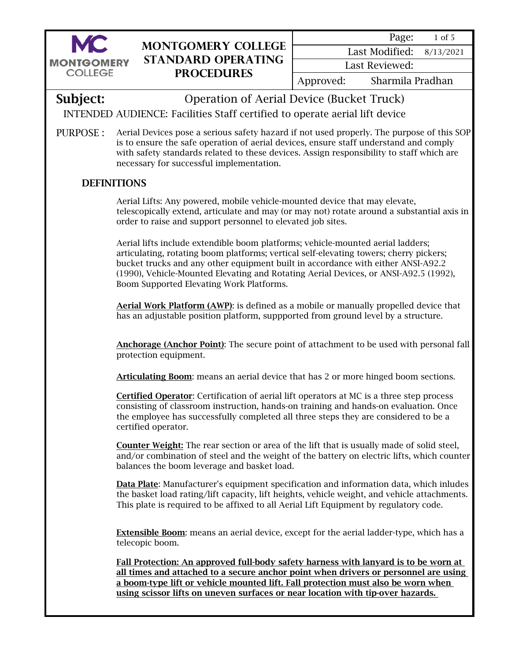

1 of 5 Page:

8/13/2021 Last Modified:

Last Reviewed:

Approved: Sharmila Pradhan

**Subject:** Operation of Aerial Device (Bucket Truck)

INTENDED AUDIENCE: Facilities Staff certified to operate aerial lift device

PURPOSE : Aerial Devices pose a serious safety hazard if not used properly. The purpose of this SOP is to ensure the safe operation of aerial devices, ensure staff understand and comply with safety standards related to these devices. Assign responsibility to staff which are necessary for successful implementation.

# **DEFINITIONS**

Aerial Lifts: Any powered, mobile vehicle-mounted device that may elevate, telescopically extend, articulate and may (or may not) rotate around a substantial axis in order to raise and support personnel to elevated job sites.

Aerial lifts include extendible boom platforms; vehicle-mounted aerial ladders; articulating, rotating boom platforms; vertical self-elevating towers; cherry pickers; bucket trucks and any other equipment built in accordance with either ANSI-A92.2 (1990), Vehicle-Mounted Elevating and Rotating Aerial Devices, or ANSI-A92.5 (1992), Boom Supported Elevating Work Platforms.

Aerial Work Platform (AWP): is defined as a mobile or manually propelled device that has an adjustable position platform, suppported from ground level by a structure.

Anchorage (Anchor Point): The secure point of attachment to be used with personal fall protection equipment.

Articulating Boom: means an aerial device that has 2 or more hinged boom sections.

Certified Operator: Certification of aerial lift operators at MC is a three step process consisting of classroom instruction, hands-on training and hands-on evaluation. Once the employee has successfully completed all three steps they are considered to be a certified operator.

Counter Weight: The rear section or area of the lift that is usually made of solid steel, and/or combination of steel and the weight of the battery on electric lifts, which counter balances the boom leverage and basket load.

Data Plate: Manufacturer's equipment specification and information data, which inludes the basket load rating/lift capacity, lift heights, vehicle weight, and vehicle attachments. This plate is required to be affixed to all Aerial Lift Equipment by regulatory code.

**Extensible Boom:** means an aerial device, except for the aerial ladder-type, which has a telecopic boom.

Fall Protection: An approved full-body safety harness with lanyard is to be worn at all times and attached to a secure anchor point when drivers or personnel are using a boom-type lift or vehicle mounted lift. Fall protection must also be worn when using scissor lifts on uneven surfaces or near location with tip-over hazards.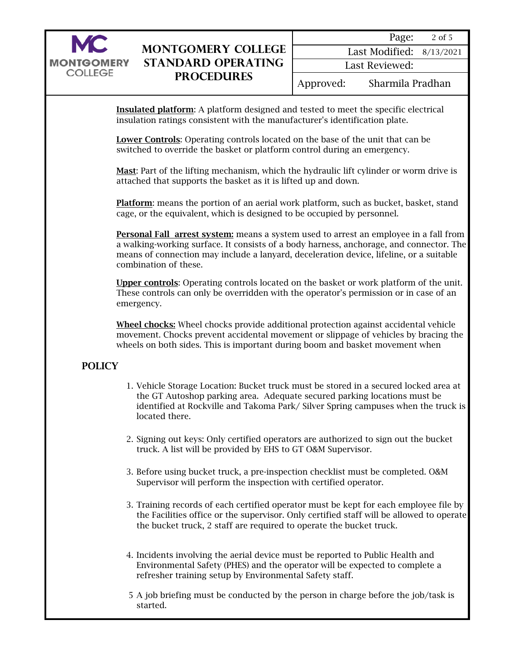

Insulated platform: A platform designed and tested to meet the specific electrical insulation ratings consistent with the manufacturer's identification plate.

Lower Controls: Operating controls located on the base of the unit that can be switched to override the basket or platform control during an emergency.

Mast: Part of the lifting mechanism, which the hydraulic lift cylinder or worm drive is attached that supports the basket as it is lifted up and down.

Platform: means the portion of an aerial work platform, such as bucket, basket, stand cage, or the equivalent, which is designed to be occupied by personnel.

Personal Fall arrest system: means a system used to arrest an employee in a fall from a walking-working surface. It consists of a body harness, anchorage, and connector. The means of connection may include a lanyard, deceleration device, lifeline, or a suitable combination of these.

Upper controls: Operating controls located on the basket or work platform of the unit. These controls can only be overridden with the operator's permission or in case of an emergency.

Wheel chocks: Wheel chocks provide additional protection against accidental vehicle movement. Chocks prevent accidental movement or slippage of vehicles by bracing the wheels on both sides. This is important during boom and basket movement when

## POLICY

- 1. Vehicle Storage Location: Bucket truck must be stored in a secured locked area at the GT Autoshop parking area. Adequate secured parking locations must be identified at Rockville and Takoma Park/ Silver Spring campuses when the truck is located there.
- 2. Signing out keys: Only certified operators are authorized to sign out the bucket truck. A list will be provided by EHS to GT O&M Supervisor.
- 3. Before using bucket truck, a pre-inspection checklist must be completed. O&M Supervisor will perform the inspection with certified operator.
- 3. Training records of each certified operator must be kept for each employee file by the Facilities office or the supervisor. Only certified staff will be allowed to operate the bucket truck, 2 staff are required to operate the bucket truck.
- 4. Incidents involving the aerial device must be reported to Public Health and Environmental Safety (PHES) and the operator will be expected to complete a refresher training setup by Environmental Safety staff.
- 5 A job briefing must be conducted by the person in charge before the job/task is started.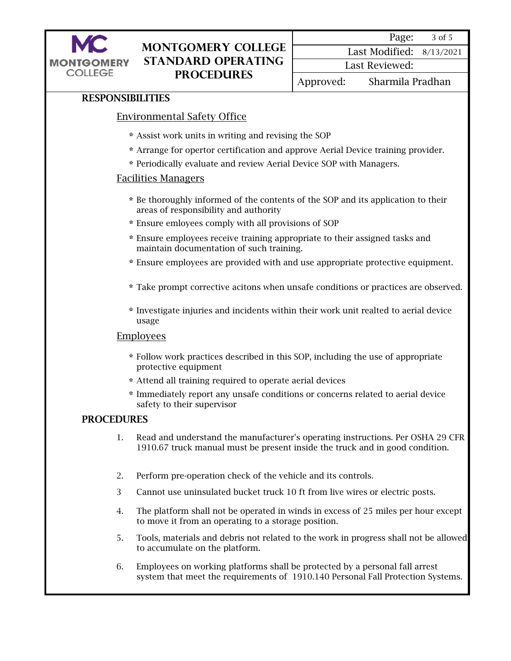

3 of 5 Page:

8/13/2021 Last Modified: Last Reviewed:

Approved: Sharmila Pradhan

## RESPONSIBILITIES

## Environmental Safety Office

- \* Assist work units in writing and revising the SOP
- \* Arrange for opertor certification and approve Aerial Device training provider.
- \* Periodically evaluate and review Aerial Device SOP with Managers.

#### Facilities Managers

- \* Be thoroughly informed of the contents of the SOP and its application to their areas of responsibility and authority
- \* Ensure emloyees comply with all provisions of SOP
- \* Ensure employees receive training appropriate to their assigned tasks and maintain documentation of such training.
- \* Ensure employees are provided with and use appropriate protective equipment.
- \* Take prompt corrective acitons when unsafe conditions or practices are observed.
- \* Investigate injuries and incidents within their work unit realted to aerial device usage

#### **Employees**

- \* Follow work practices described in this SOP, including the use of appropriate protective equipment
- \* Attend all training required to operate aerial devices
- \* Immediately report any unsafe conditions or concerns related to aerial device safety to their supervisor

#### PROCEDURES

- 1. Read and understand the manufacturer's operating instructions. Per OSHA 29 CFR 1910.67 truck manual must be present inside the truck and in good condition.
- 2. Perform pre-operation check of the vehicle and its controls.
- 3 Cannot use uninsulated bucket truck 10 ft from live wires or electric posts.
- 4. The platform shall not be operated in winds in excess of 25 miles per hour except to move it from an operating to a storage position.
- 5. Tools, materials and debris not related to the work in progress shall not be allowed to accumulate on the platform.
- 6. Employees on working platforms shall be protected by a personal fall arrest system that meet the requirements of 1910.140 Personal Fall Protection Systems.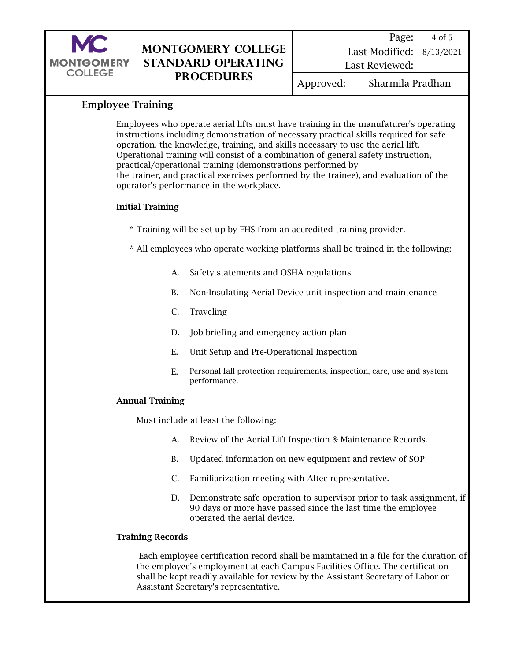

| Page:                    | 4 of 5 |
|--------------------------|--------|
| Last Modified: 8/13/2021 |        |

Last Reviewed:

Approved: Sharmila Pradhan

## Employee Training

Employees who operate aerial lifts must have training in the manufaturer's operating instructions including demonstration of necessary practical skills required for safe operation. the knowledge, training, and skills necessary to use the aerial lift. Operational training will consist of a combination of general safety instruction, practical/operational training (demonstrations performed by the trainer, and practical exercises performed by the trainee), and evaluation of the operator's performance in the workplace.

## Initial Training

\* Training will be set up by EHS from an accredited training provider.

\* All employees who operate working platforms shall be trained in the following:

- A. Safety statements and OSHA regulations
- B. Non-Insulating Aerial Device unit inspection and maintenance
- C. Traveling
- D. Job briefing and emergency action plan
- E. Unit Setup and Pre-Operational Inspection
- E. Personal fall protection requirements, inspection, care, use and system performance.

#### Annual Training

Must include at least the following:

- A. Review of the Aerial Lift Inspection & Maintenance Records.
- B. Updated information on new equipment and review of SOP
- C. Familiarization meeting with Altec representative.
- D. Demonstrate safe operation to supervisor prior to task assignment, if 90 days or more have passed since the last time the employee operated the aerial device.

#### Training Records

 Each employee certification record shall be maintained in a file for the duration of the employee's employment at each Campus Facilities Office. The certification shall be kept readily available for review by the Assistant Secretary of Labor or Assistant Secretary's representative.